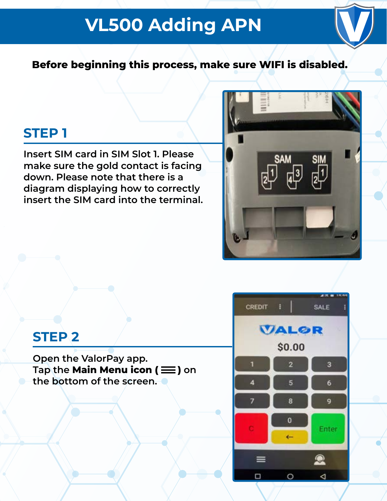# **VL500 Adding APN**



**Before beginning this process, make sure WIFI is disabled.**

## **STEP 1**

**Insert SIM card in SIM Slot 1. Please make sure the gold contact is facing down. Please note that there is a diagram displaying how to correctly insert the SIM card into the terminal.**



## **STEP 2**

**Open the ValorPay app.** Tap the **Main Menu icon**  $(\equiv)$  on **the bottom of the screen.** 

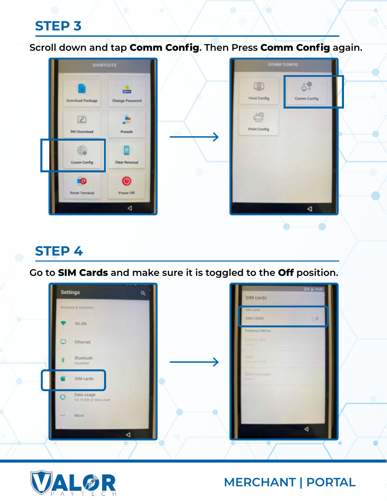**Scroll down and tap Comm Config. Then Press Comm Config again.**



## **STEP 4**

**Go to SIM Cards and make sure it is toggled to the Off position.** 



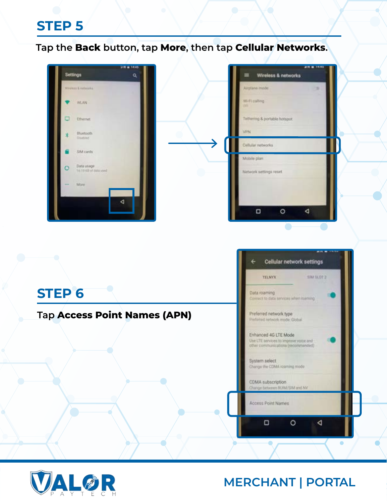**Tap the Back button, tap More, then tap Cellular Networks.**



|                              | Wireless & networks | <b>MARIN</b> |
|------------------------------|---------------------|--------------|
| Airplane model               |                     |              |
| Wi-Ficalling<br>m            |                     |              |
| Tethering & portable hotspot |                     |              |
| VPN                          |                     |              |
| Cellular networks.           |                     |              |
| Mobile plant                 |                     |              |
| Nietwork settings reset      |                     |              |
|                              |                     |              |
|                              |                     |              |
| о                            |                     |              |
|                              |                     |              |



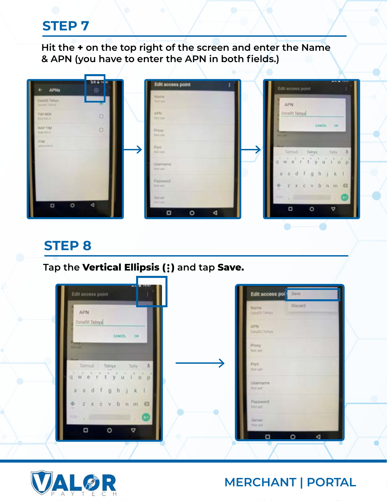**Hit the + on the top right of the screen and enter the Name & APN (you have to enter the APN in both fields.)** 

| <b>APNs</b>                            | 58 8 14 H<br>$\Theta$ | Edit access point             | <b>BELLET BELLETING</b><br>Edit access point                                                                                     |
|----------------------------------------|-----------------------|-------------------------------|----------------------------------------------------------------------------------------------------------------------------------|
| lataOD Tichiga.<br><b>MADIC TWING</b>  |                       | Name:<br>Test sec             | APN                                                                                                                              |
| TIM WEEK<br><b>But NA R</b>            | $\circ$               | AFN.<br>And put:              | DataCO.Telnyx                                                                                                                    |
| <b>MIT TIME</b><br><b>BOARD DIRECT</b> | $\circ$               | Proxy.<br>Mot net             | CANCEL<br><b>OK</b><br><b>Thomas</b><br><b>Part sure</b>                                                                         |
| Titut<br>which limit in                |                       | Port                          |                                                                                                                                  |
|                                        |                       | <b>RELEET</b><br>Usernamid    | bumtin <sub>1</sub><br>Telnyx<br>Telly.<br>$w e^{\prime} t^{\prime} y^{\prime} u^{\prime} l^{\prime} o^{\prime} p^{\prime}$<br>α |
|                                        |                       | Retrief.                      | asdfghj<br>k                                                                                                                     |
|                                        |                       | Password<br><b>Birth part</b> | <b>+ z x c v b n m</b><br>$\alpha$<br>$\frac{1}{2}$                                                                              |
| $\circ$<br>O                           | <b>d</b>              | Situat:<br>THE SAFE           | $\mathrm{THH} \leq \mathcal{E}$<br><b>Contract Contract</b><br>$\circ$<br>A<br>O                                                 |
|                                        |                       | O<br>$\circ$<br>∢             |                                                                                                                                  |

#### **STEP 8**

#### **Tap the Vertical Ellipsis ( ) and tap Save.**